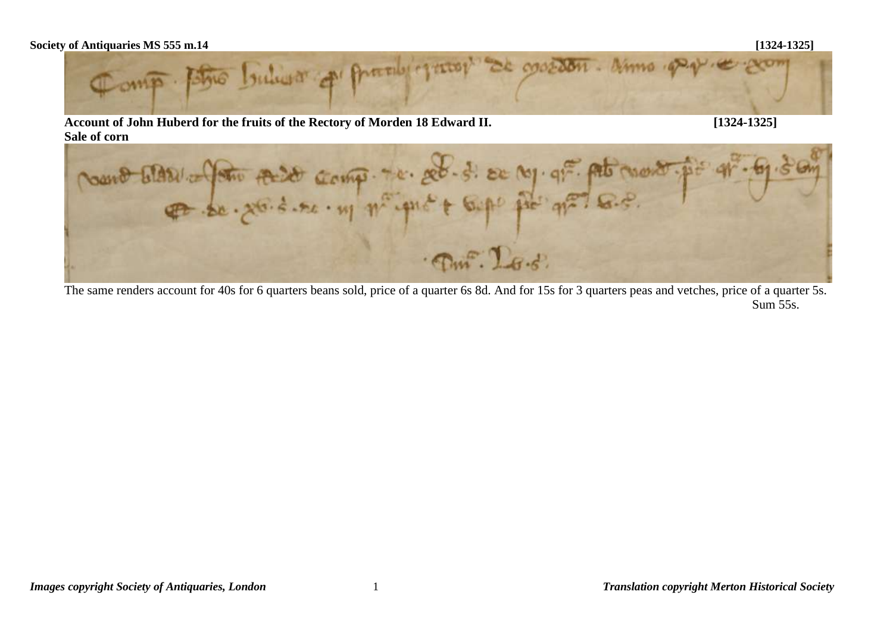## **Society of Antiquaries MS 555 m.14 [1324-1325]**



**Account of John Huberd for the fruits of the Rectory of Morden 18 Edward II. [1324-1325]**



The same renders account for 40s for 6 quarters beans sold, price of a quarter 6s 8d. And for 15s for 3 quarters peas and vetches, price of a quarter 5s. Sum 55s.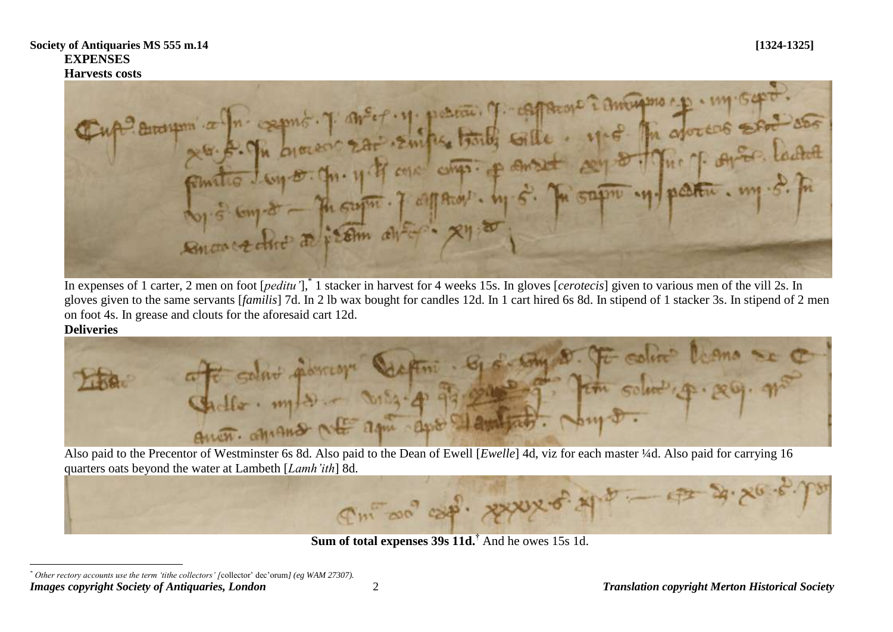Harvest costs<br>
Cup<sup>2</sup> Brough a for compte, 7 and et un permet for contract i and the costs send and Smort chief a frem after xy a

In expenses of 1 carter, 2 men on foot [*peditu'*],\* 1 stacker in harvest for 4 weeks 15s. In gloves [*cerotecis*] given to various men of the vill 2s. In gloves given to the same servants [*familis*] 7d. In 2 lb wax bought for candles 12d. In 1 cart hired 6s 8d. In stipend of 1 stacker 3s. In stipend of 2 men on foot 4s. In grease and clouts for the aforesaid cart 12d.

## **Deliveries**

 $\overline{a}$ 



Also paid to the Precentor of Westminster 6s 8d. Also paid to the Dean of Ewell [*Ewelle*] 4d, viz for each master ¼d. Also paid for carrying 16



**Sum of total expenses 39s 11d.†** And he owes 15s 1d.

*Images copyright Society of Antiquaries, London* 2 *Translation copyright Merton Historical Society \* Other rectory accounts use the term 'tithe collectors' [*collector' dec'orum*] (eg WAM 27307).*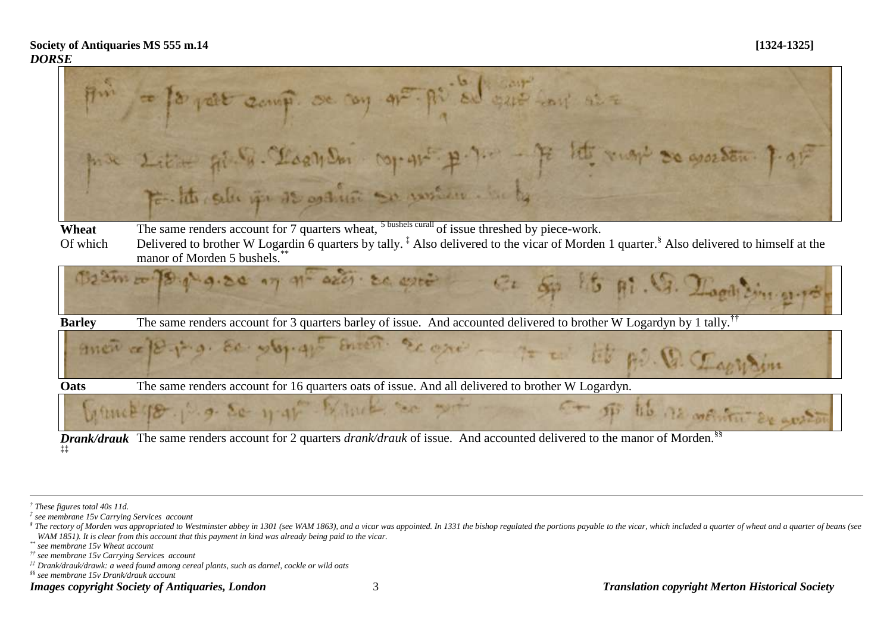

*Drank/drauk* The same renders account for 2 quarters *drank/drauk* of issue. And accounted delivered to the manor of Morden.§§ **‡‡**

<u>.</u>

*\*\* see membrane 15v Wheat account*

*§§ see membrane 15v Drank/drauk account*

*<sup>†</sup> These figures total 40s 11d.*

*<sup>‡</sup> see membrane 15v Carrying Services account*

<sup>&</sup>lt;sup>§</sup> The rectory of Morden was appropriated to Westminster abbey in 1301 (see WAM 1863), and a vicar was appointed. In 1331 the bishop regulated the portions payable to the vicar, which included a quarter of wheat and a qua *WAM 1851). It is clear from this account that this payment in kind was already being paid to the vicar.*

*<sup>††</sup> see membrane 15v Carrying Services account*

*<sup>‡‡</sup> Drank/drauk/drawk: a weed found among cereal plants, such as darnel, cockle or wild oats*